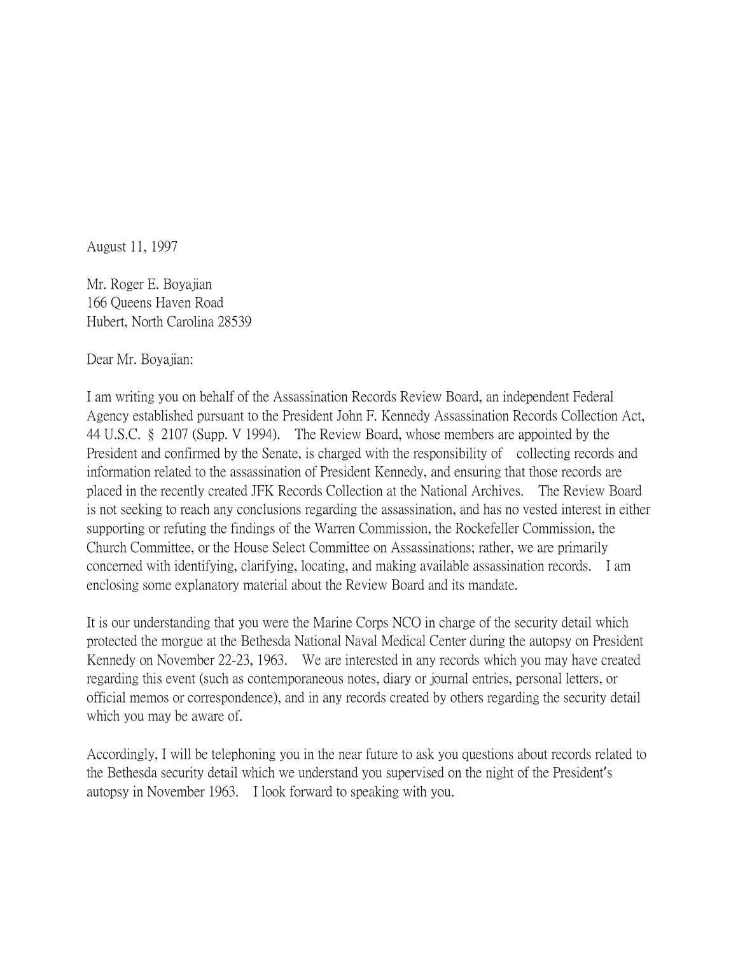August 11, 1997

Mr. Roger E. Boyajian 166 Queens Haven Road Hubert, North Carolina 28539

Dear Mr. Boyajian:

I am writing you on behalf of the Assassination Records Review Board, an independent Federal Agency established pursuant to the President John F. Kennedy Assassination Records Collection Act, 44 U.S.C. § 2107 (Supp. V 1994). The Review Board, whose members are appointed by the President and confirmed by the Senate, is charged with the responsibility of collecting records and information related to the assassination of President Kennedy, and ensuring that those records are placed in the recently created JFK Records Collection at the National Archives. The Review Board is not seeking to reach any conclusions regarding the assassination, and has no vested interest in either supporting or refuting the findings of the Warren Commission, the Rockefeller Commission, the Church Committee, or the House Select Committee on Assassinations; rather, we are primarily concerned with identifying, clarifying, locating, and making available assassination records. I am enclosing some explanatory material about the Review Board and its mandate.

It is our understanding that you were the Marine Corps NCO in charge of the security detail which protected the morgue at the Bethesda National Naval Medical Center during the autopsy on President Kennedy on November 22-23, 1963. We are interested in any records which you may have created regarding this event (such as contemporaneous notes, diary or journal entries, personal letters, or official memos or correspondence), and in any records created by others regarding the security detail which you may be aware of.

Accordingly, I will be telephoning you in the near future to ask you questions about records related to the Bethesda security detail which we understand you supervised on the night of the President's autopsy in November 1963. I look forward to speaking with you.